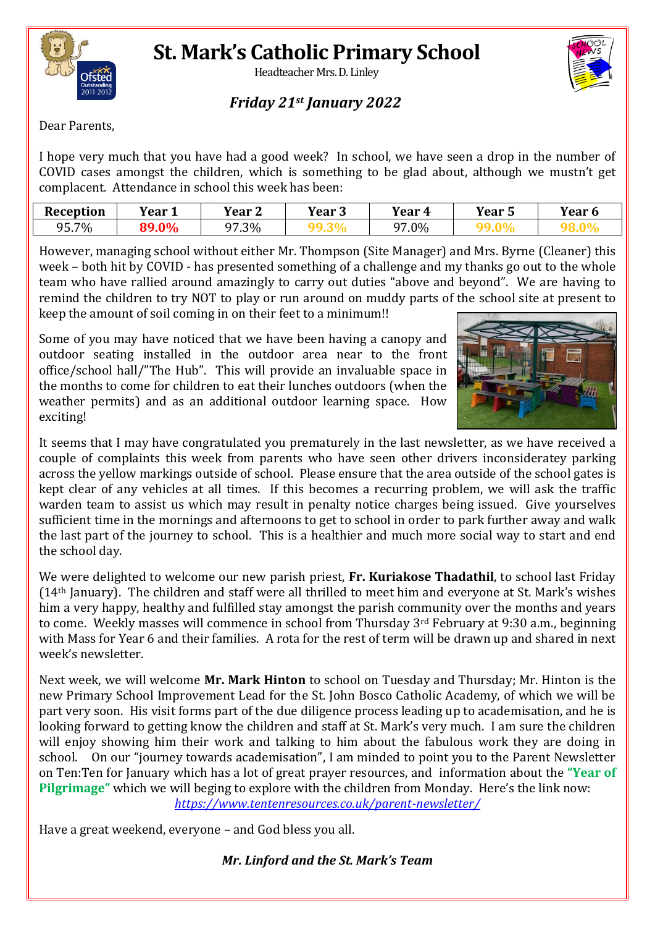

### **St. Mark's Catholic Primary School**

Headteacher Mrs. D. Linley



#### *Friday 21st January 2022*

Dear Parents,

I hope very much that you have had a good week? In school, we have seen a drop in the number of COVID cases amongst the children, which is something to be glad about, although we mustn't get complacent. Attendance in school this week has been:

| <b>Reception</b> | Vear 1 | Year <sub>2</sub> | Year 3 | <b>Year 4</b> | <b>Year 5</b> | <b>Year 6</b> |
|------------------|--------|-------------------|--------|---------------|---------------|---------------|
| 95.7%            | 89.0%  | 97.3%             |        | 97.0%         |               |               |

However, managing school without either Mr. Thompson (Site Manager) and Mrs. Byrne (Cleaner) this week – both hit by COVID - has presented something of a challenge and my thanks go out to the whole team who have rallied around amazingly to carry out duties "above and beyond". We are having to remind the children to try NOT to play or run around on muddy parts of the school site at present to keep the amount of soil coming in on their feet to a minimum!!

Some of you may have noticed that we have been having a canopy and outdoor seating installed in the outdoor area near to the front office/school hall/"The Hub". This will provide an invaluable space in the months to come for children to eat their lunches outdoors (when the weather permits) and as an additional outdoor learning space. How exciting!



It seems that I may have congratulated you prematurely in the last newsletter, as we have received a couple of complaints this week from parents who have seen other drivers inconsideratey parking across the yellow markings outside of school. Please ensure that the area outside of the school gates is kept clear of any vehicles at all times. If this becomes a recurring problem, we will ask the traffic warden team to assist us which may result in penalty notice charges being issued. Give yourselves sufficient time in the mornings and afternoons to get to school in order to park further away and walk the last part of the journey to school. This is a healthier and much more social way to start and end the school day.

We were delighted to welcome our new parish priest, **Fr. Kuriakose Thadathil**, to school last Friday (14th January). The children and staff were all thrilled to meet him and everyone at St. Mark's wishes him a very happy, healthy and fulfilled stay amongst the parish community over the months and years to come. Weekly masses will commence in school from Thursday 3rd February at 9:30 a.m., beginning with Mass for Year 6 and their families. A rota for the rest of term will be drawn up and shared in next week's newsletter.

Next week, we will welcome **Mr. Mark Hinton** to school on Tuesday and Thursday; Mr. Hinton is the new Primary School Improvement Lead for the St. John Bosco Catholic Academy, of which we will be part very soon. His visit forms part of the due diligence process leading up to academisation, and he is looking forward to getting know the children and staff at St. Mark's very much. I am sure the children will enjoy showing him their work and talking to him about the fabulous work they are doing in school. On our "journey towards academisation", I am minded to point you to the Parent Newsletter on Ten:Ten for January which has a lot of great prayer resources, and information about the **"Year of Pilgrimage"** which we will beging to explore with the children from Monday. Here's the link now: *<https://www.tentenresources.co.uk/parent-newsletter/>*

Have a great weekend, everyone – and God bless you all.

*Mr. Linford and the St. Mark's Team*